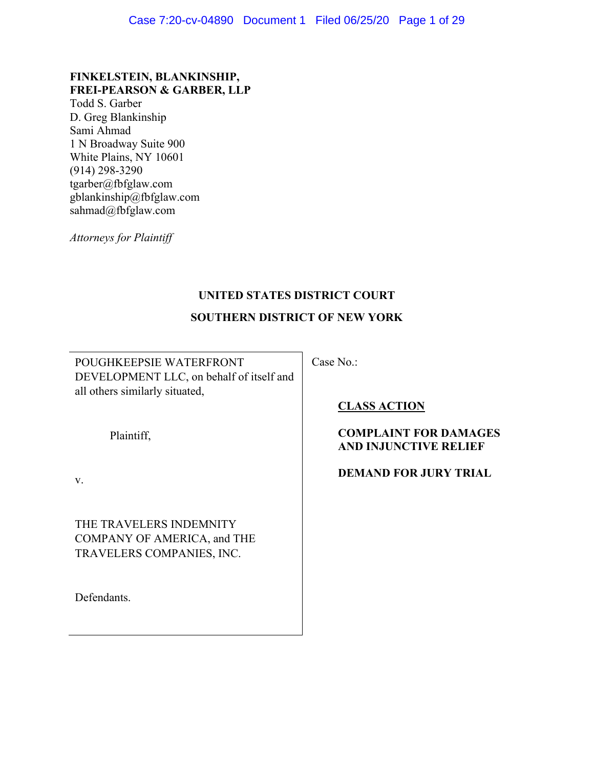# **FINKELSTEIN, BLANKINSHIP, FREI-PEARSON & GARBER, LLP**

Todd S. Garber D. Greg Blankinship Sami Ahmad 1 N Broadway Suite 900 White Plains, NY 10601 (914) 298-3290 tgarber@fbfglaw.com gblankinship@fbfglaw.com sahmad@fbfglaw.com

*Attorneys for Plaintiff* 

# **UNITED STATES DISTRICT COURT**

# **SOUTHERN DISTRICT OF NEW YORK**

POUGHKEEPSIE WATERFRONT DEVELOPMENT LLC, on behalf of itself and all others similarly situated,

Case No.:

Plaintiff,

v.

THE TRAVELERS INDEMNITY COMPANY OF AMERICA, and THE TRAVELERS COMPANIES, INC.

Defendants.

**CLASS ACTION** 

# **COMPLAINT FOR DAMAGES AND INJUNCTIVE RELIEF**

# **DEMAND FOR JURY TRIAL**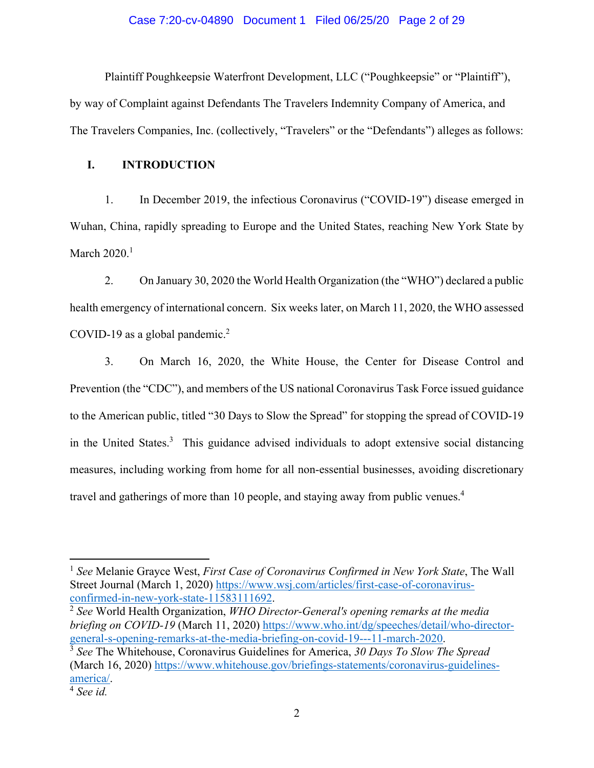### Case 7:20-cv-04890 Document 1 Filed 06/25/20 Page 2 of 29

Plaintiff Poughkeepsie Waterfront Development, LLC ("Poughkeepsie" or "Plaintiff"), by way of Complaint against Defendants The Travelers Indemnity Company of America, and The Travelers Companies, Inc. (collectively, "Travelers" or the "Defendants") alleges as follows:

## **I. INTRODUCTION**

1. In December 2019, the infectious Coronavirus ("COVID-19") disease emerged in Wuhan, China, rapidly spreading to Europe and the United States, reaching New York State by March  $2020.<sup>1</sup>$ 

2. On January 30, 2020 the World Health Organization (the "WHO") declared a public health emergency of international concern. Six weeks later, on March 11, 2020, the WHO assessed COVID-19 as a global pandemic.<sup>2</sup>

3. On March 16, 2020, the White House, the Center for Disease Control and Prevention (the "CDC"), and members of the US national Coronavirus Task Force issued guidance to the American public, titled "30 Days to Slow the Spread" for stopping the spread of COVID-19 in the United States.<sup>3</sup> This guidance advised individuals to adopt extensive social distancing measures, including working from home for all non-essential businesses, avoiding discretionary travel and gatherings of more than 10 people, and staying away from public venues.<sup>4</sup>

<sup>1</sup> *See* Melanie Grayce West, *First Case of Coronavirus Confirmed in New York State*, The Wall Street Journal (March 1, 2020) https://www.wsj.com/articles/first-case-of-coronavirus-<br>confirmed-in-new-york-state-11583111692.

<sup>&</sup>lt;sup>2</sup> See World Health Organization, *WHO Director-General's opening remarks at the media briefing on COVID-19* (March 11, 2020) https://www.who.int/dg/speeches/detail/who-directorgeneral-s-opening-remarks-at-the-media-briefing-on-covid-19---11-march-2020. 3 *See* The Whitehouse, Coronavirus Guidelines for America, *30 Days To Slow The Spread*

<sup>(</sup>March 16, 2020) https://www.whitehouse.gov/briefings-statements/coronavirus-guidelinesamerica/. 4 *See id.*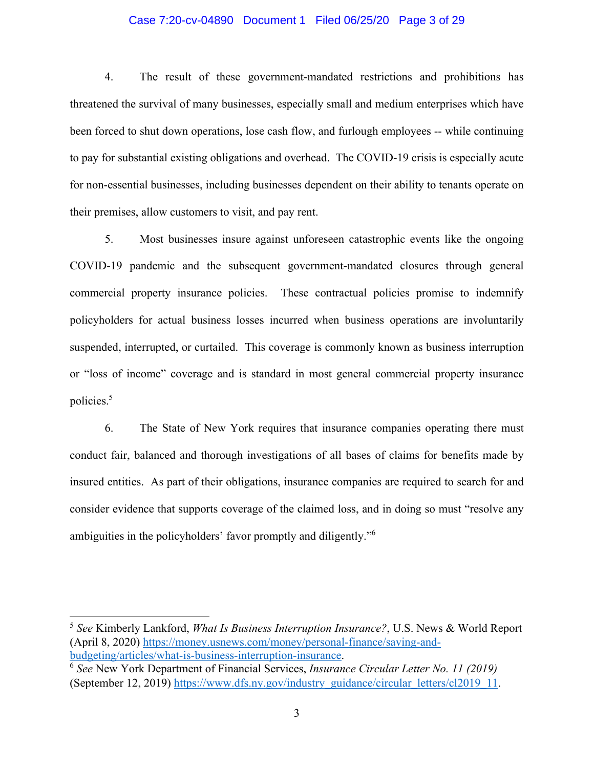### Case 7:20-cv-04890 Document 1 Filed 06/25/20 Page 3 of 29

4. The result of these government-mandated restrictions and prohibitions has threatened the survival of many businesses, especially small and medium enterprises which have been forced to shut down operations, lose cash flow, and furlough employees -- while continuing to pay for substantial existing obligations and overhead. The COVID-19 crisis is especially acute for non-essential businesses, including businesses dependent on their ability to tenants operate on their premises, allow customers to visit, and pay rent.

5. Most businesses insure against unforeseen catastrophic events like the ongoing COVID-19 pandemic and the subsequent government-mandated closures through general commercial property insurance policies. These contractual policies promise to indemnify policyholders for actual business losses incurred when business operations are involuntarily suspended, interrupted, or curtailed. This coverage is commonly known as business interruption or "loss of income" coverage and is standard in most general commercial property insurance policies.5

6. The State of New York requires that insurance companies operating there must conduct fair, balanced and thorough investigations of all bases of claims for benefits made by insured entities. As part of their obligations, insurance companies are required to search for and consider evidence that supports coverage of the claimed loss, and in doing so must "resolve any ambiguities in the policyholders' favor promptly and diligently."<sup>6</sup>

<sup>5</sup> *See* Kimberly Lankford, *What Is Business Interruption Insurance?*, U.S. News & World Report (April 8, 2020) https://money.usnews.com/money/personal-finance/saving-andbudgeting/articles/what-is-business-interruption-insurance. 6 *See* New York Department of Financial Services, *Insurance Circular Letter No. 11 (2019)* 

<sup>(</sup>September 12, 2019) https://www.dfs.ny.gov/industry\_guidance/circular\_letters/cl2019\_11.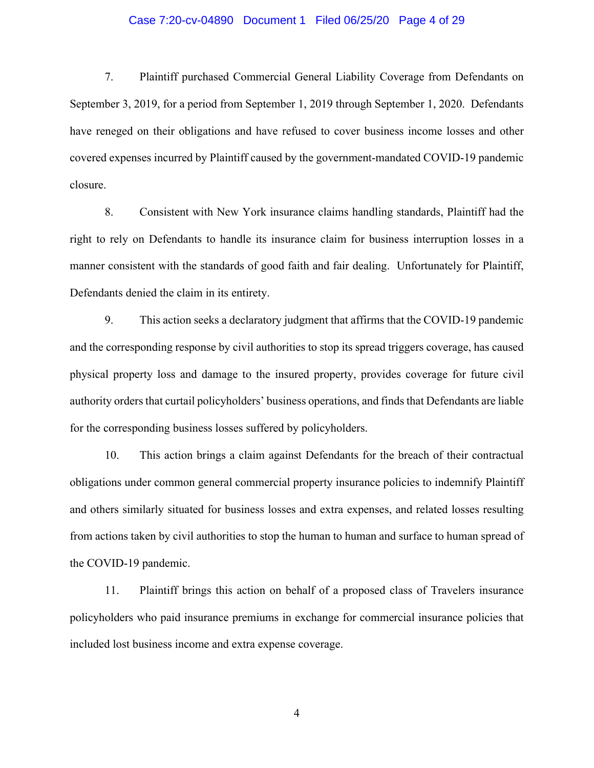### Case 7:20-cv-04890 Document 1 Filed 06/25/20 Page 4 of 29

7. Plaintiff purchased Commercial General Liability Coverage from Defendants on September 3, 2019, for a period from September 1, 2019 through September 1, 2020. Defendants have reneged on their obligations and have refused to cover business income losses and other covered expenses incurred by Plaintiff caused by the government-mandated COVID-19 pandemic closure.

8. Consistent with New York insurance claims handling standards, Plaintiff had the right to rely on Defendants to handle its insurance claim for business interruption losses in a manner consistent with the standards of good faith and fair dealing. Unfortunately for Plaintiff, Defendants denied the claim in its entirety.

9. This action seeks a declaratory judgment that affirms that the COVID-19 pandemic and the corresponding response by civil authorities to stop its spread triggers coverage, has caused physical property loss and damage to the insured property, provides coverage for future civil authority orders that curtail policyholders' business operations, and finds that Defendants are liable for the corresponding business losses suffered by policyholders.

10. This action brings a claim against Defendants for the breach of their contractual obligations under common general commercial property insurance policies to indemnify Plaintiff and others similarly situated for business losses and extra expenses, and related losses resulting from actions taken by civil authorities to stop the human to human and surface to human spread of the COVID-19 pandemic.

11. Plaintiff brings this action on behalf of a proposed class of Travelers insurance policyholders who paid insurance premiums in exchange for commercial insurance policies that included lost business income and extra expense coverage.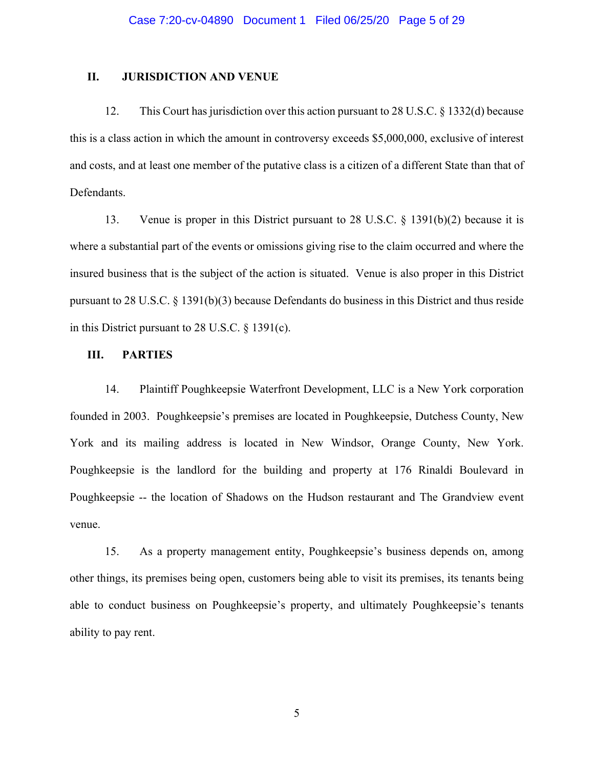### **II. JURISDICTION AND VENUE**

12. This Court has jurisdiction over this action pursuant to 28 U.S.C. § 1332(d) because this is a class action in which the amount in controversy exceeds \$5,000,000, exclusive of interest and costs, and at least one member of the putative class is a citizen of a different State than that of Defendants.

13. Venue is proper in this District pursuant to 28 U.S.C. § 1391(b)(2) because it is where a substantial part of the events or omissions giving rise to the claim occurred and where the insured business that is the subject of the action is situated. Venue is also proper in this District pursuant to 28 U.S.C. § 1391(b)(3) because Defendants do business in this District and thus reside in this District pursuant to 28 U.S.C. § 1391(c).

# **III. PARTIES**

14. Plaintiff Poughkeepsie Waterfront Development, LLC is a New York corporation founded in 2003. Poughkeepsie's premises are located in Poughkeepsie, Dutchess County, New York and its mailing address is located in New Windsor, Orange County, New York. Poughkeepsie is the landlord for the building and property at 176 Rinaldi Boulevard in Poughkeepsie -- the location of Shadows on the Hudson restaurant and The Grandview event venue.

15. As a property management entity, Poughkeepsie's business depends on, among other things, its premises being open, customers being able to visit its premises, its tenants being able to conduct business on Poughkeepsie's property, and ultimately Poughkeepsie's tenants ability to pay rent.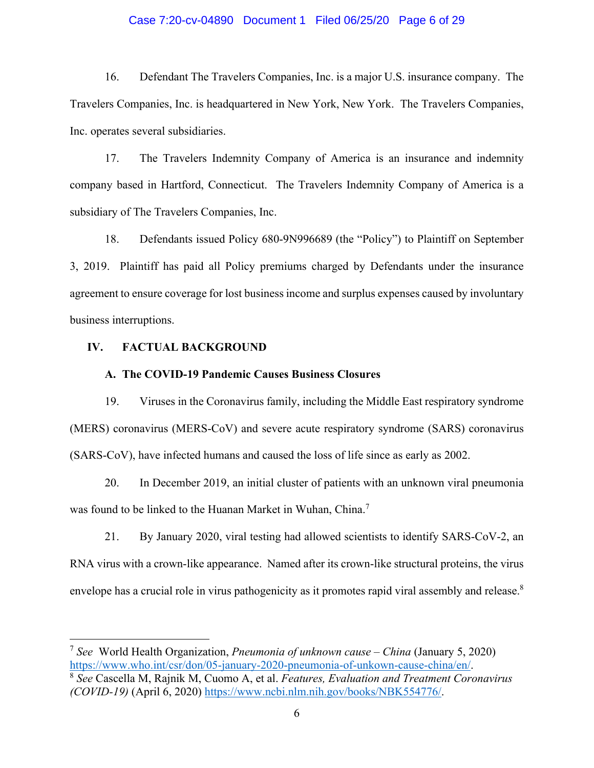### Case 7:20-cv-04890 Document 1 Filed 06/25/20 Page 6 of 29

16. Defendant The Travelers Companies, Inc. is a major U.S. insurance company. The Travelers Companies, Inc. is headquartered in New York, New York. The Travelers Companies, Inc. operates several subsidiaries.

17. The Travelers Indemnity Company of America is an insurance and indemnity company based in Hartford, Connecticut. The Travelers Indemnity Company of America is a subsidiary of The Travelers Companies, Inc.

18. Defendants issued Policy 680-9N996689 (the "Policy") to Plaintiff on September 3, 2019. Plaintiff has paid all Policy premiums charged by Defendants under the insurance agreement to ensure coverage for lost business income and surplus expenses caused by involuntary business interruptions.

# **IV. FACTUAL BACKGROUND**

### **A. The COVID-19 Pandemic Causes Business Closures**

19. Viruses in the Coronavirus family, including the Middle East respiratory syndrome (MERS) coronavirus (MERS-CoV) and severe acute respiratory syndrome (SARS) coronavirus (SARS-CoV), have infected humans and caused the loss of life since as early as 2002.

20. In December 2019, an initial cluster of patients with an unknown viral pneumonia was found to be linked to the Huanan Market in Wuhan, China.<sup>7</sup>

21. By January 2020, viral testing had allowed scientists to identify SARS-CoV-2, an RNA virus with a crown-like appearance. Named after its crown-like structural proteins, the virus envelope has a crucial role in virus pathogenicity as it promotes rapid viral assembly and release.<sup>8</sup>

<sup>7</sup> *See* World Health Organization, *Pneumonia of unknown cause – China* (January 5, 2020) https://www.who.int/csr/don/05-january-2020-pneumonia-of-unkown-cause-china/en/. 8 *See* Cascella M, Rajnik M, Cuomo A, et al. *Features, Evaluation and Treatment Coronavirus*

*<sup>(</sup>COVID-19)* (April 6, 2020) https://www.ncbi.nlm.nih.gov/books/NBK554776/.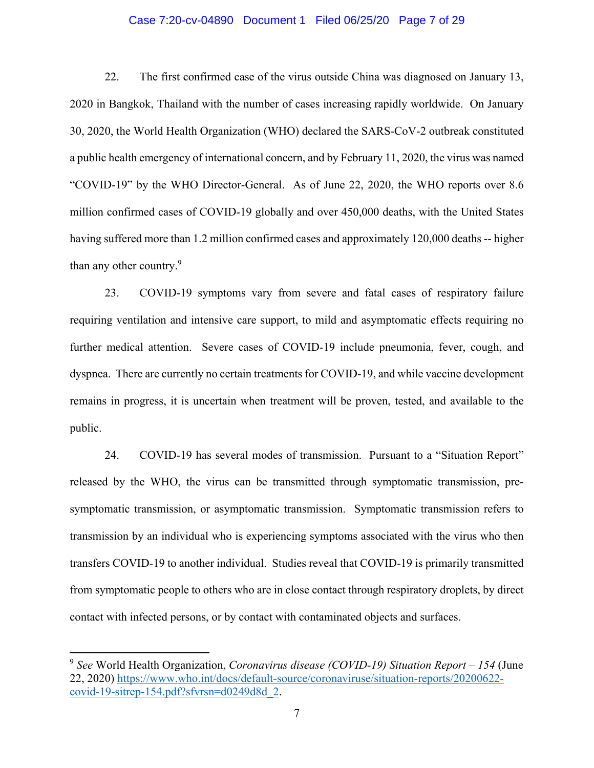### Case 7:20-cv-04890 Document 1 Filed 06/25/20 Page 7 of 29

22. The first confirmed case of the virus outside China was diagnosed on January 13, 2020 in Bangkok, Thailand with the number of cases increasing rapidly worldwide. On January 30, 2020, the World Health Organization (WHO) declared the SARS-CoV-2 outbreak constituted a public health emergency of international concern, and by February 11, 2020, the virus was named "COVID-19" by the WHO Director-General. As of June 22, 2020, the WHO reports over 8.6 million confirmed cases of COVID-19 globally and over 450,000 deaths, with the United States having suffered more than 1.2 million confirmed cases and approximately 120,000 deaths -- higher than any other country.<sup>9</sup>

23. COVID-19 symptoms vary from severe and fatal cases of respiratory failure requiring ventilation and intensive care support, to mild and asymptomatic effects requiring no further medical attention. Severe cases of COVID-19 include pneumonia, fever, cough, and dyspnea. There are currently no certain treatments for COVID-19, and while vaccine development remains in progress, it is uncertain when treatment will be proven, tested, and available to the public.

24. COVID-19 has several modes of transmission. Pursuant to a "Situation Report" released by the WHO, the virus can be transmitted through symptomatic transmission, presymptomatic transmission, or asymptomatic transmission. Symptomatic transmission refers to transmission by an individual who is experiencing symptoms associated with the virus who then transfers COVID-19 to another individual. Studies reveal that COVID-19 is primarily transmitted from symptomatic people to others who are in close contact through respiratory droplets, by direct contact with infected persons, or by contact with contaminated objects and surfaces.

<sup>9</sup> *See* World Health Organization, *Coronavirus disease (COVID-19) Situation Report – 154* (June 22, 2020) https://www.who.int/docs/default-source/coronaviruse/situation-reports/20200622 covid-19-sitrep-154.pdf?sfvrsn=d0249d8d\_2.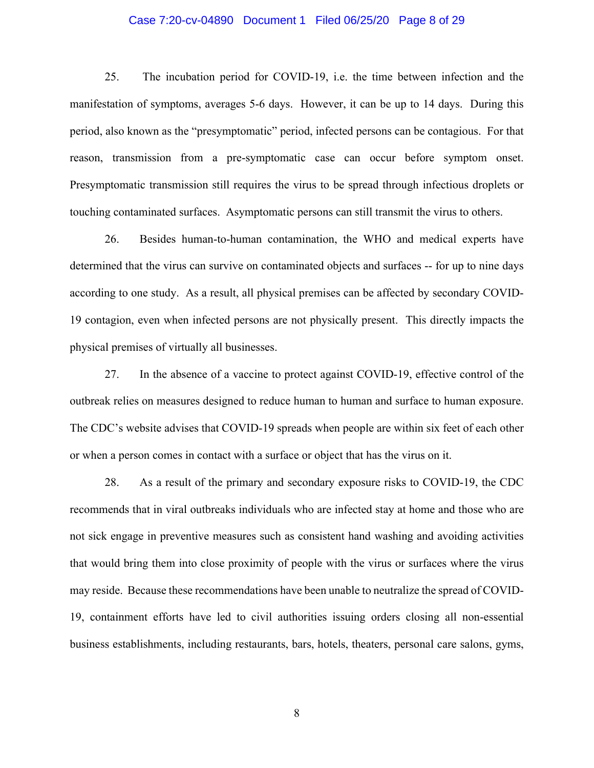### Case 7:20-cv-04890 Document 1 Filed 06/25/20 Page 8 of 29

25. The incubation period for COVID-19, i.e. the time between infection and the manifestation of symptoms, averages 5-6 days. However, it can be up to 14 days. During this period, also known as the "presymptomatic" period, infected persons can be contagious. For that reason, transmission from a pre-symptomatic case can occur before symptom onset. Presymptomatic transmission still requires the virus to be spread through infectious droplets or touching contaminated surfaces. Asymptomatic persons can still transmit the virus to others.

26. Besides human-to-human contamination, the WHO and medical experts have determined that the virus can survive on contaminated objects and surfaces -- for up to nine days according to one study. As a result, all physical premises can be affected by secondary COVID-19 contagion, even when infected persons are not physically present. This directly impacts the physical premises of virtually all businesses.

27. In the absence of a vaccine to protect against COVID-19, effective control of the outbreak relies on measures designed to reduce human to human and surface to human exposure. The CDC's website advises that COVID-19 spreads when people are within six feet of each other or when a person comes in contact with a surface or object that has the virus on it.

28. As a result of the primary and secondary exposure risks to COVID-19, the CDC recommends that in viral outbreaks individuals who are infected stay at home and those who are not sick engage in preventive measures such as consistent hand washing and avoiding activities that would bring them into close proximity of people with the virus or surfaces where the virus may reside. Because these recommendations have been unable to neutralize the spread of COVID-19, containment efforts have led to civil authorities issuing orders closing all non-essential business establishments, including restaurants, bars, hotels, theaters, personal care salons, gyms,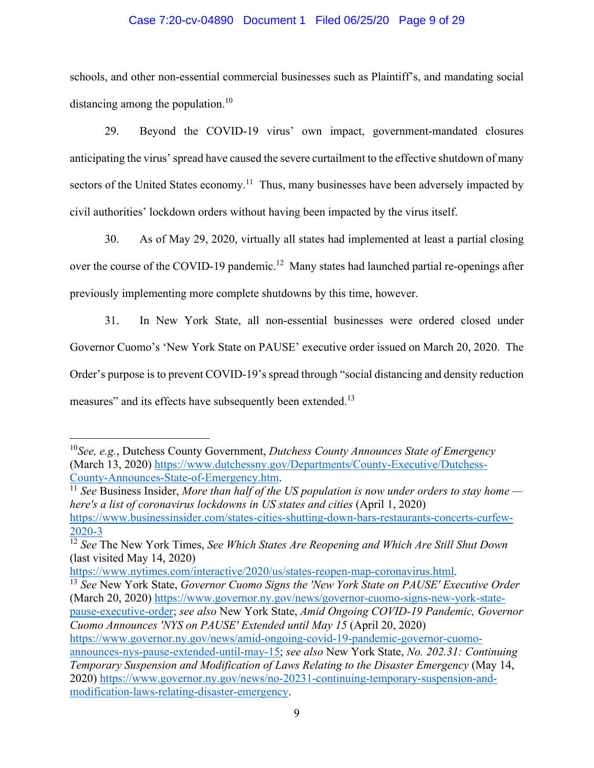## Case 7:20-cv-04890 Document 1 Filed 06/25/20 Page 9 of 29

schools, and other non-essential commercial businesses such as Plaintiff's, and mandating social distancing among the population.<sup>10</sup>

29. Beyond the COVID-19 virus' own impact, government-mandated closures anticipating the virus' spread have caused the severe curtailment to the effective shutdown of many sectors of the United States economy.<sup>11</sup> Thus, many businesses have been adversely impacted by civil authorities' lockdown orders without having been impacted by the virus itself.

30. As of May 29, 2020, virtually all states had implemented at least a partial closing over the course of the COVID-19 pandemic.<sup>12</sup> Many states had launched partial re-openings after previously implementing more complete shutdowns by this time, however.

31. In New York State, all non-essential businesses were ordered closed under Governor Cuomo's 'New York State on PAUSE' executive order issued on March 20, 2020. The Order's purpose is to prevent COVID-19's spread through "social distancing and density reduction measures" and its effects have subsequently been extended.<sup>13</sup>

<sup>10</sup>*See, e.g.*, Dutchess County Government, *Dutchess County Announces State of Emergency* (March 13, 2020) https://www.dutchessny.gov/Departments/County-Executive/Dutchess-

County-Announces-State-of-Emergency.htm. 11 *See* Business Insider, *More than half of the US population is now under orders to stay home here's a list of coronavirus lockdowns in US states and cities* (April 1, 2020) https://www.businessinsider.com/states-cities-shutting-down-bars-restaurants-concerts-curfew-2020-3

<sup>12</sup> *See* The New York Times, *See Which States Are Reopening and Which Are Still Shut Down* (last visited May 14, 2020)

https://www.nytimes.com/interactive/2020/us/states-reopen-map-coronavirus.html. 13 *See* New York State, *Governor Cuomo Signs the 'New York State on PAUSE' Executive Order* (March 20, 2020) https://www.governor.ny.gov/news/governor-cuomo-signs-new-york-statepause-executive-order; *see also* New York State, *Amid Ongoing COVID-19 Pandemic, Governor Cuomo Announces 'NYS on PAUSE' Extended until May 15* (April 20, 2020) https://www.governor.ny.gov/news/amid-ongoing-covid-19-pandemic-governor-cuomoannounces-nys-pause-extended-until-may-15; *see also* New York State, *No. 202.31: Continuing Temporary Suspension and Modification of Laws Relating to the Disaster Emergency* (May 14, 2020) https://www.governor.ny.gov/news/no-20231-continuing-temporary-suspension-andmodification-laws-relating-disaster-emergency.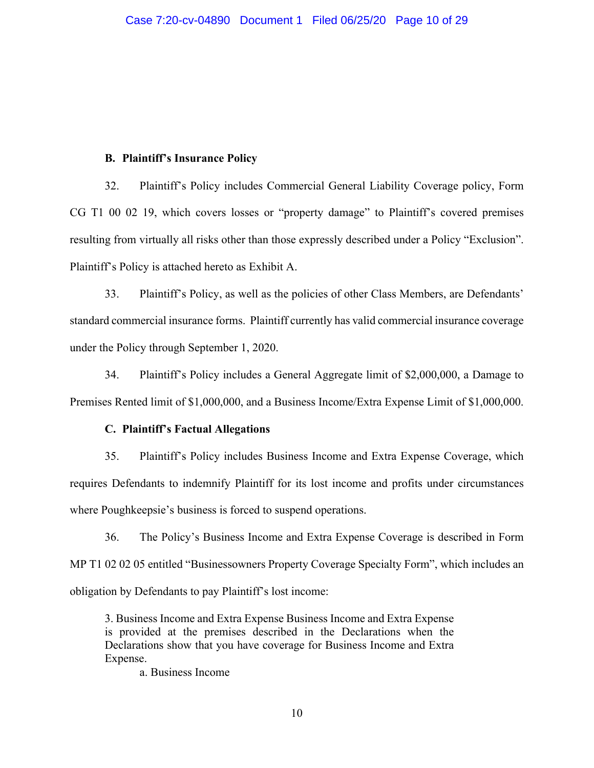### **B. Plaintiff's Insurance Policy**

32. Plaintiff's Policy includes Commercial General Liability Coverage policy, Form CG T1 00 02 19, which covers losses or "property damage" to Plaintiff's covered premises resulting from virtually all risks other than those expressly described under a Policy "Exclusion". Plaintiff's Policy is attached hereto as Exhibit A.

33. Plaintiff's Policy, as well as the policies of other Class Members, are Defendants' standard commercial insurance forms. Plaintiff currently has valid commercial insurance coverage under the Policy through September 1, 2020.

34. Plaintiff's Policy includes a General Aggregate limit of \$2,000,000, a Damage to Premises Rented limit of \$1,000,000, and a Business Income/Extra Expense Limit of \$1,000,000.

### **C. Plaintiff's Factual Allegations**

35. Plaintiff's Policy includes Business Income and Extra Expense Coverage, which requires Defendants to indemnify Plaintiff for its lost income and profits under circumstances where Poughkeepsie's business is forced to suspend operations.

36. The Policy's Business Income and Extra Expense Coverage is described in Form MP T1 02 02 05 entitled "Businessowners Property Coverage Specialty Form", which includes an obligation by Defendants to pay Plaintiff's lost income:

3. Business Income and Extra Expense Business Income and Extra Expense is provided at the premises described in the Declarations when the Declarations show that you have coverage for Business Income and Extra Expense.

a. Business Income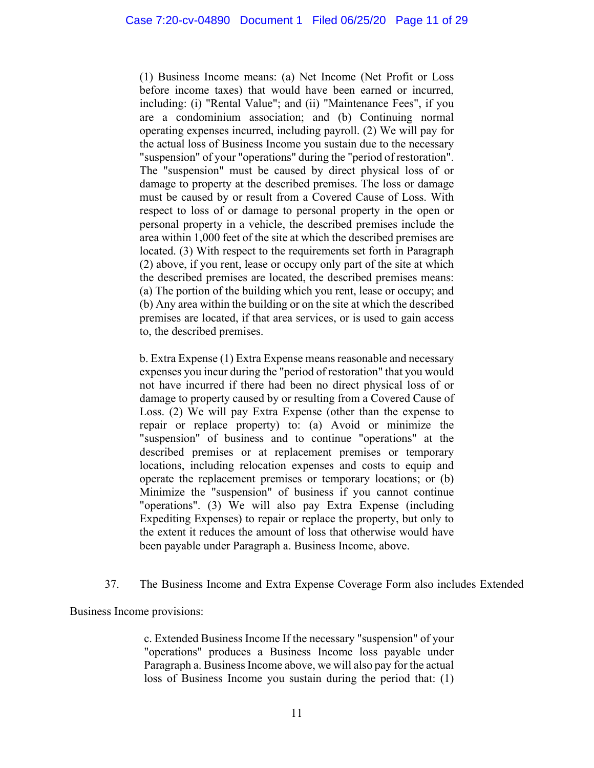(1) Business Income means: (a) Net Income (Net Profit or Loss before income taxes) that would have been earned or incurred, including: (i) "Rental Value"; and (ii) "Maintenance Fees", if you are a condominium association; and (b) Continuing normal operating expenses incurred, including payroll. (2) We will pay for the actual loss of Business Income you sustain due to the necessary "suspension" of your "operations" during the "period of restoration". The "suspension" must be caused by direct physical loss of or damage to property at the described premises. The loss or damage must be caused by or result from a Covered Cause of Loss. With respect to loss of or damage to personal property in the open or personal property in a vehicle, the described premises include the area within 1,000 feet of the site at which the described premises are located. (3) With respect to the requirements set forth in Paragraph (2) above, if you rent, lease or occupy only part of the site at which the described premises are located, the described premises means: (a) The portion of the building which you rent, lease or occupy; and (b) Any area within the building or on the site at which the described premises are located, if that area services, or is used to gain access to, the described premises.

b. Extra Expense (1) Extra Expense means reasonable and necessary expenses you incur during the "period of restoration" that you would not have incurred if there had been no direct physical loss of or damage to property caused by or resulting from a Covered Cause of Loss. (2) We will pay Extra Expense (other than the expense to repair or replace property) to: (a) Avoid or minimize the "suspension" of business and to continue "operations" at the described premises or at replacement premises or temporary locations, including relocation expenses and costs to equip and operate the replacement premises or temporary locations; or (b) Minimize the "suspension" of business if you cannot continue "operations". (3) We will also pay Extra Expense (including Expediting Expenses) to repair or replace the property, but only to the extent it reduces the amount of loss that otherwise would have been payable under Paragraph a. Business Income, above.

# 37. The Business Income and Extra Expense Coverage Form also includes Extended

Business Income provisions:

c. Extended Business Income If the necessary "suspension" of your "operations" produces a Business Income loss payable under Paragraph a. Business Income above, we will also pay for the actual loss of Business Income you sustain during the period that: (1)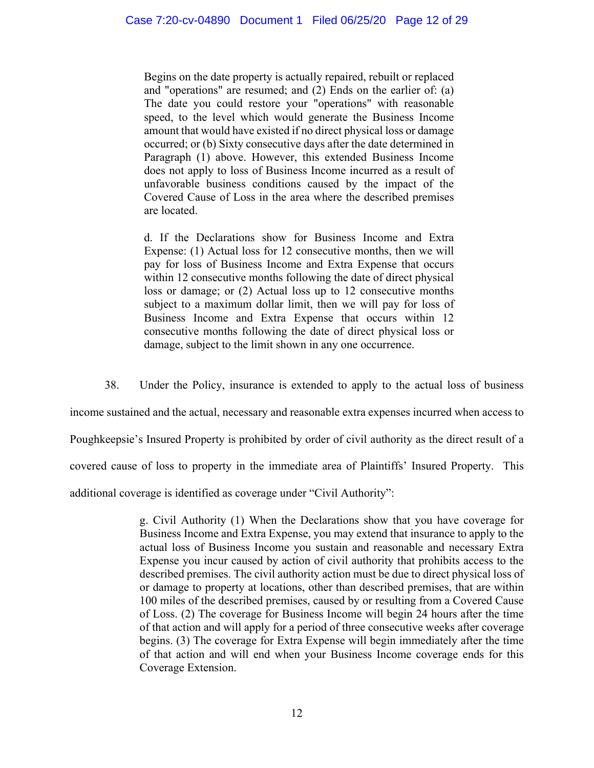Begins on the date property is actually repaired, rebuilt or replaced and "operations" are resumed; and (2) Ends on the earlier of: (a) The date you could restore your "operations" with reasonable speed, to the level which would generate the Business Income amount that would have existed if no direct physical loss or damage occurred; or (b) Sixty consecutive days after the date determined in Paragraph (1) above. However, this extended Business Income does not apply to loss of Business Income incurred as a result of unfavorable business conditions caused by the impact of the Covered Cause of Loss in the area where the described premises are located.

d. If the Declarations show for Business Income and Extra Expense: (1) Actual loss for 12 consecutive months, then we will pay for loss of Business Income and Extra Expense that occurs within 12 consecutive months following the date of direct physical loss or damage; or (2) Actual loss up to 12 consecutive months subject to a maximum dollar limit, then we will pay for loss of Business Income and Extra Expense that occurs within 12 consecutive months following the date of direct physical loss or damage, subject to the limit shown in any one occurrence.

38. Under the Policy, insurance is extended to apply to the actual loss of business

income sustained and the actual, necessary and reasonable extra expenses incurred when access to

Poughkeepsie's Insured Property is prohibited by order of civil authority as the direct result of a

covered cause of loss to property in the immediate area of Plaintiffs' Insured Property. This

additional coverage is identified as coverage under "Civil Authority":

g. Civil Authority (1) When the Declarations show that you have coverage for Business Income and Extra Expense, you may extend that insurance to apply to the actual loss of Business Income you sustain and reasonable and necessary Extra Expense you incur caused by action of civil authority that prohibits access to the described premises. The civil authority action must be due to direct physical loss of or damage to property at locations, other than described premises, that are within 100 miles of the described premises, caused by or resulting from a Covered Cause of Loss. (2) The coverage for Business Income will begin 24 hours after the time of that action and will apply for a period of three consecutive weeks after coverage begins. (3) The coverage for Extra Expense will begin immediately after the time of that action and will end when your Business Income coverage ends for this Coverage Extension.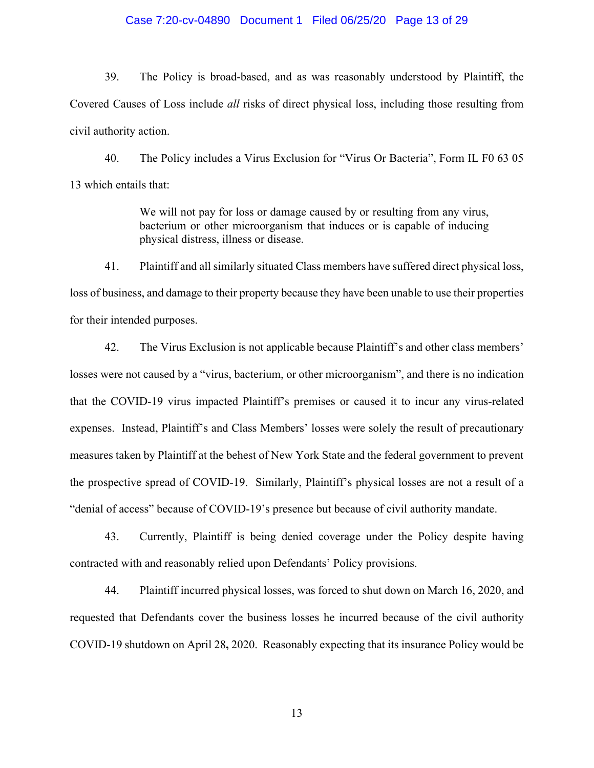### Case 7:20-cv-04890 Document 1 Filed 06/25/20 Page 13 of 29

39. The Policy is broad-based, and as was reasonably understood by Plaintiff, the Covered Causes of Loss include *all* risks of direct physical loss, including those resulting from civil authority action.

40. The Policy includes a Virus Exclusion for "Virus Or Bacteria", Form IL F0 63 05 13 which entails that:

> We will not pay for loss or damage caused by or resulting from any virus, bacterium or other microorganism that induces or is capable of inducing physical distress, illness or disease.

41. Plaintiff and all similarly situated Class members have suffered direct physical loss, loss of business, and damage to their property because they have been unable to use their properties for their intended purposes.

42. The Virus Exclusion is not applicable because Plaintiff's and other class members' losses were not caused by a "virus, bacterium, or other microorganism", and there is no indication that the COVID-19 virus impacted Plaintiff's premises or caused it to incur any virus-related expenses. Instead, Plaintiff's and Class Members' losses were solely the result of precautionary measures taken by Plaintiff at the behest of New York State and the federal government to prevent the prospective spread of COVID-19. Similarly, Plaintiff's physical losses are not a result of a "denial of access" because of COVID-19's presence but because of civil authority mandate.

43. Currently, Plaintiff is being denied coverage under the Policy despite having contracted with and reasonably relied upon Defendants' Policy provisions.

44. Plaintiff incurred physical losses, was forced to shut down on March 16, 2020, and requested that Defendants cover the business losses he incurred because of the civil authority COVID-19 shutdown on April 28**,** 2020. Reasonably expecting that its insurance Policy would be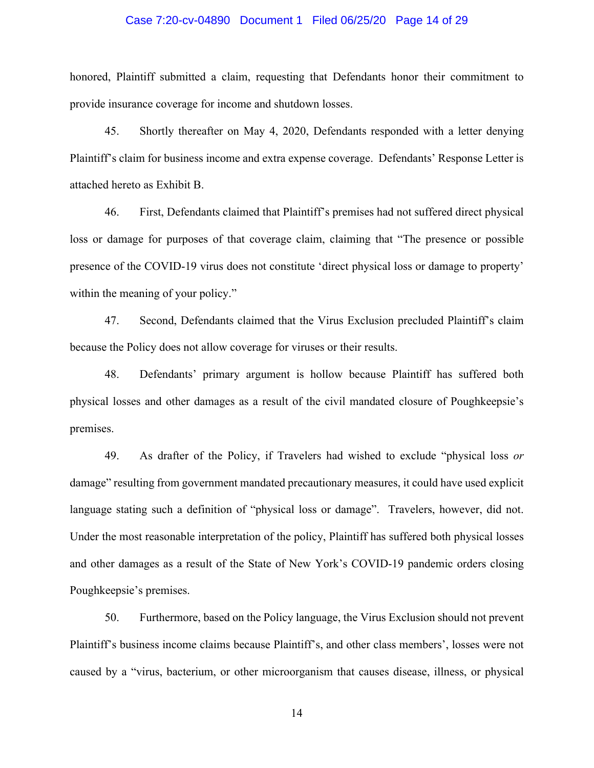### Case 7:20-cv-04890 Document 1 Filed 06/25/20 Page 14 of 29

honored, Plaintiff submitted a claim, requesting that Defendants honor their commitment to provide insurance coverage for income and shutdown losses.

45. Shortly thereafter on May 4, 2020, Defendants responded with a letter denying Plaintiff's claim for business income and extra expense coverage. Defendants' Response Letter is attached hereto as Exhibit B.

46. First, Defendants claimed that Plaintiff's premises had not suffered direct physical loss or damage for purposes of that coverage claim, claiming that "The presence or possible presence of the COVID-19 virus does not constitute 'direct physical loss or damage to property' within the meaning of your policy."

47. Second, Defendants claimed that the Virus Exclusion precluded Plaintiff's claim because the Policy does not allow coverage for viruses or their results.

48. Defendants' primary argument is hollow because Plaintiff has suffered both physical losses and other damages as a result of the civil mandated closure of Poughkeepsie's premises.

49. As drafter of the Policy, if Travelers had wished to exclude "physical loss *or* damage" resulting from government mandated precautionary measures, it could have used explicit language stating such a definition of "physical loss or damage". Travelers, however, did not. Under the most reasonable interpretation of the policy, Plaintiff has suffered both physical losses and other damages as a result of the State of New York's COVID-19 pandemic orders closing Poughkeepsie's premises.

50. Furthermore, based on the Policy language, the Virus Exclusion should not prevent Plaintiff's business income claims because Plaintiff's, and other class members', losses were not caused by a "virus, bacterium, or other microorganism that causes disease, illness, or physical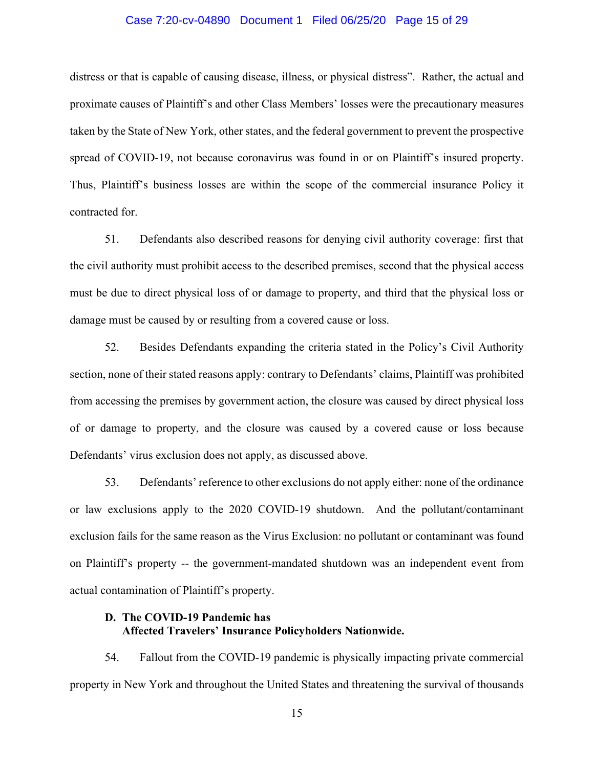### Case 7:20-cv-04890 Document 1 Filed 06/25/20 Page 15 of 29

distress or that is capable of causing disease, illness, or physical distress". Rather, the actual and proximate causes of Plaintiff's and other Class Members' losses were the precautionary measures taken by the State of New York, other states, and the federal government to prevent the prospective spread of COVID-19, not because coronavirus was found in or on Plaintiff's insured property. Thus, Plaintiff's business losses are within the scope of the commercial insurance Policy it contracted for.

51. Defendants also described reasons for denying civil authority coverage: first that the civil authority must prohibit access to the described premises, second that the physical access must be due to direct physical loss of or damage to property, and third that the physical loss or damage must be caused by or resulting from a covered cause or loss.

52. Besides Defendants expanding the criteria stated in the Policy's Civil Authority section, none of their stated reasons apply: contrary to Defendants' claims, Plaintiff was prohibited from accessing the premises by government action, the closure was caused by direct physical loss of or damage to property, and the closure was caused by a covered cause or loss because Defendants' virus exclusion does not apply, as discussed above.

53. Defendants' reference to other exclusions do not apply either: none of the ordinance or law exclusions apply to the 2020 COVID-19 shutdown. And the pollutant/contaminant exclusion fails for the same reason as the Virus Exclusion: no pollutant or contaminant was found on Plaintiff's property -- the government-mandated shutdown was an independent event from actual contamination of Plaintiff's property.

# **D. The COVID-19 Pandemic has Affected Travelers' Insurance Policyholders Nationwide.**

54. Fallout from the COVID-19 pandemic is physically impacting private commercial property in New York and throughout the United States and threatening the survival of thousands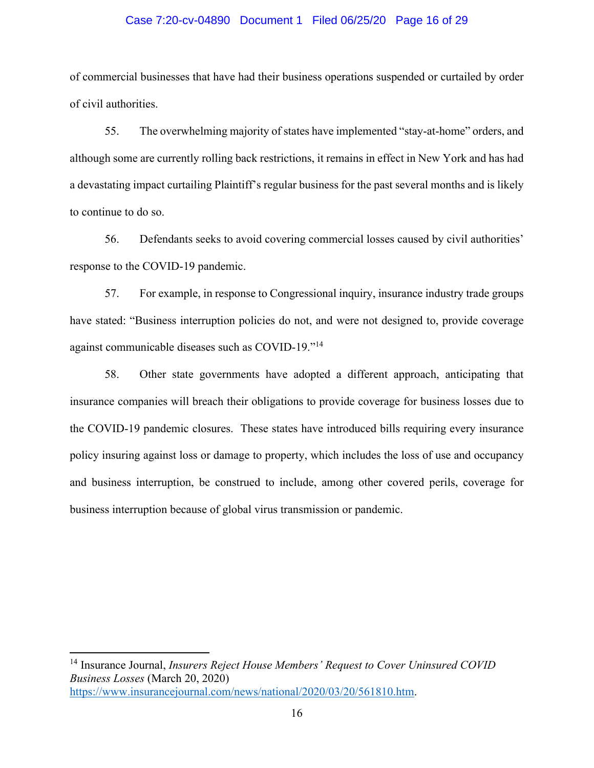### Case 7:20-cv-04890 Document 1 Filed 06/25/20 Page 16 of 29

of commercial businesses that have had their business operations suspended or curtailed by order of civil authorities.

55. The overwhelming majority of states have implemented "stay-at-home" orders, and although some are currently rolling back restrictions, it remains in effect in New York and has had a devastating impact curtailing Plaintiff's regular business for the past several months and is likely to continue to do so.

56. Defendants seeks to avoid covering commercial losses caused by civil authorities' response to the COVID-19 pandemic.

57. For example, in response to Congressional inquiry, insurance industry trade groups have stated: "Business interruption policies do not, and were not designed to, provide coverage against communicable diseases such as COVID-19."<sup>14</sup>

58. Other state governments have adopted a different approach, anticipating that insurance companies will breach their obligations to provide coverage for business losses due to the COVID-19 pandemic closures. These states have introduced bills requiring every insurance policy insuring against loss or damage to property, which includes the loss of use and occupancy and business interruption, be construed to include, among other covered perils, coverage for business interruption because of global virus transmission or pandemic.

14 Insurance Journal, *Insurers Reject House Members' Request to Cover Uninsured COVID Business Losses* (March 20, 2020) https://www.insurancejournal.com/news/national/2020/03/20/561810.htm.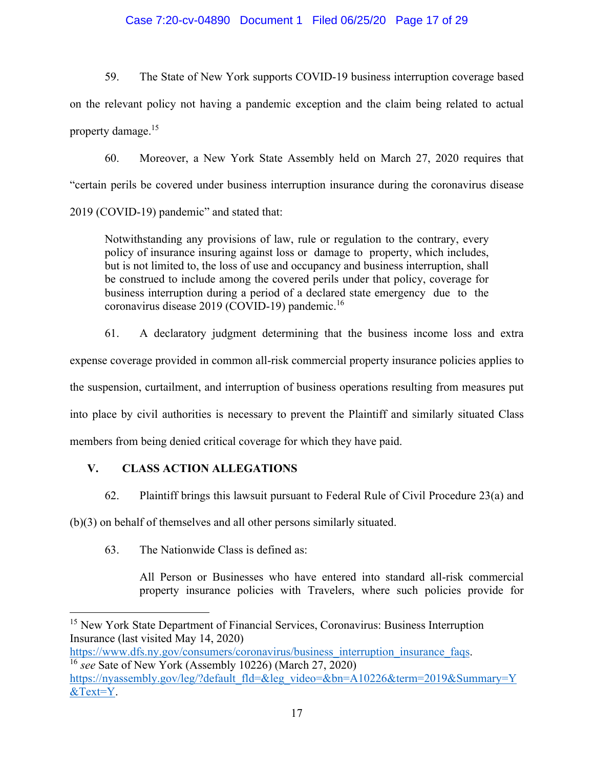## Case 7:20-cv-04890 Document 1 Filed 06/25/20 Page 17 of 29

59. The State of New York supports COVID-19 business interruption coverage based on the relevant policy not having a pandemic exception and the claim being related to actual property damage.15

60. Moreover, a New York State Assembly held on March 27, 2020 requires that "certain perils be covered under business interruption insurance during the coronavirus disease 2019 (COVID-19) pandemic" and stated that:

Notwithstanding any provisions of law, rule or regulation to the contrary, every policy of insurance insuring against loss or damage to property, which includes, but is not limited to, the loss of use and occupancy and business interruption, shall be construed to include among the covered perils under that policy, coverage for business interruption during a period of a declared state emergency due to the coronavirus disease 2019 (COVID-19) pandemic.<sup>16</sup>

61. A declaratory judgment determining that the business income loss and extra expense coverage provided in common all-risk commercial property insurance policies applies to the suspension, curtailment, and interruption of business operations resulting from measures put into place by civil authorities is necessary to prevent the Plaintiff and similarly situated Class members from being denied critical coverage for which they have paid.

# **V. CLASS ACTION ALLEGATIONS**

62. Plaintiff brings this lawsuit pursuant to Federal Rule of Civil Procedure 23(a) and

(b)(3) on behalf of themselves and all other persons similarly situated.

63. The Nationwide Class is defined as:

All Person or Businesses who have entered into standard all-risk commercial property insurance policies with Travelers, where such policies provide for

<sup>&</sup>lt;sup>15</sup> New York State Department of Financial Services, Coronavirus: Business Interruption Insurance (last visited May 14, 2020)

https://www.dfs.ny.gov/consumers/coronavirus/business\_interruption\_insurance\_faqs. 16 *see* Sate of New York (Assembly 10226) (March 27, 2020)

https://nyassembly.gov/leg/?default\_fld=&leg\_video=&bn=A10226&term=2019&Summary=Y &Text=Y.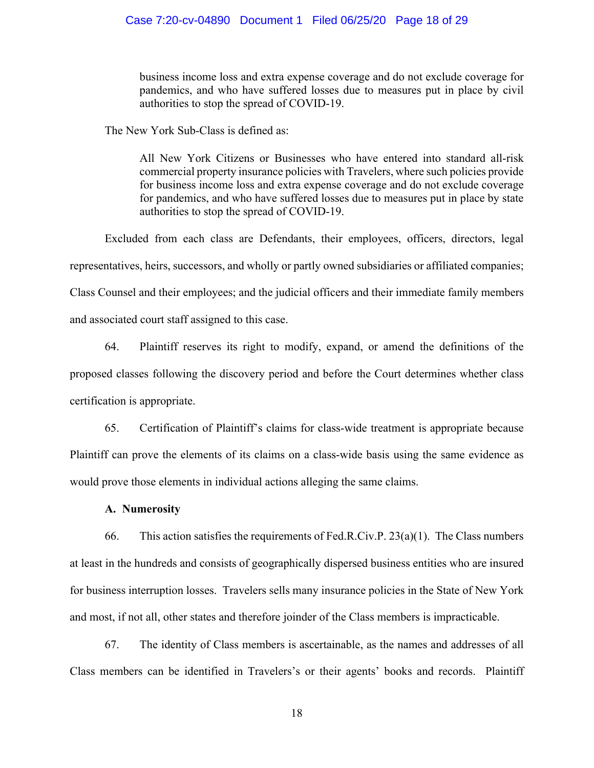business income loss and extra expense coverage and do not exclude coverage for pandemics, and who have suffered losses due to measures put in place by civil authorities to stop the spread of COVID-19.

The New York Sub-Class is defined as:

All New York Citizens or Businesses who have entered into standard all-risk commercial property insurance policies with Travelers, where such policies provide for business income loss and extra expense coverage and do not exclude coverage for pandemics, and who have suffered losses due to measures put in place by state authorities to stop the spread of COVID-19.

Excluded from each class are Defendants, their employees, officers, directors, legal representatives, heirs, successors, and wholly or partly owned subsidiaries or affiliated companies; Class Counsel and their employees; and the judicial officers and their immediate family members and associated court staff assigned to this case.

64. Plaintiff reserves its right to modify, expand, or amend the definitions of the proposed classes following the discovery period and before the Court determines whether class certification is appropriate.

65. Certification of Plaintiff's claims for class-wide treatment is appropriate because Plaintiff can prove the elements of its claims on a class-wide basis using the same evidence as would prove those elements in individual actions alleging the same claims.

## **A. Numerosity**

66. This action satisfies the requirements of Fed.R.Civ.P.  $23(a)(1)$ . The Class numbers at least in the hundreds and consists of geographically dispersed business entities who are insured for business interruption losses. Travelers sells many insurance policies in the State of New York and most, if not all, other states and therefore joinder of the Class members is impracticable.

67. The identity of Class members is ascertainable, as the names and addresses of all Class members can be identified in Travelers's or their agents' books and records. Plaintiff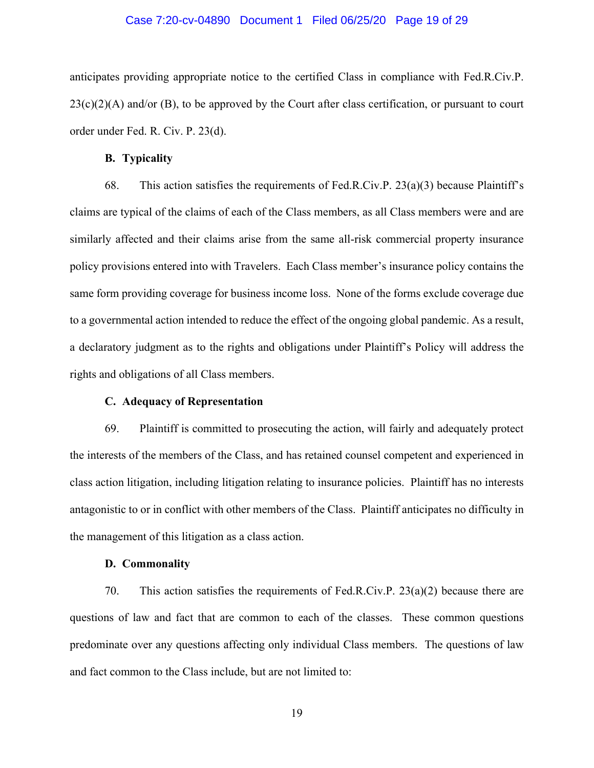#### Case 7:20-cv-04890 Document 1 Filed 06/25/20 Page 19 of 29

anticipates providing appropriate notice to the certified Class in compliance with Fed.R.Civ.P.  $23(c)(2)(A)$  and/or (B), to be approved by the Court after class certification, or pursuant to court order under Fed. R. Civ. P. 23(d).

#### **B. Typicality**

68. This action satisfies the requirements of Fed.R.Civ.P.  $23(a)(3)$  because Plaintiff's claims are typical of the claims of each of the Class members, as all Class members were and are similarly affected and their claims arise from the same all-risk commercial property insurance policy provisions entered into with Travelers. Each Class member's insurance policy contains the same form providing coverage for business income loss. None of the forms exclude coverage due to a governmental action intended to reduce the effect of the ongoing global pandemic. As a result, a declaratory judgment as to the rights and obligations under Plaintiff's Policy will address the rights and obligations of all Class members.

### **C. Adequacy of Representation**

69. Plaintiff is committed to prosecuting the action, will fairly and adequately protect the interests of the members of the Class, and has retained counsel competent and experienced in class action litigation, including litigation relating to insurance policies. Plaintiff has no interests antagonistic to or in conflict with other members of the Class. Plaintiff anticipates no difficulty in the management of this litigation as a class action.

#### **D. Commonality**

70. This action satisfies the requirements of Fed.R.Civ.P.  $23(a)(2)$  because there are questions of law and fact that are common to each of the classes. These common questions predominate over any questions affecting only individual Class members. The questions of law and fact common to the Class include, but are not limited to: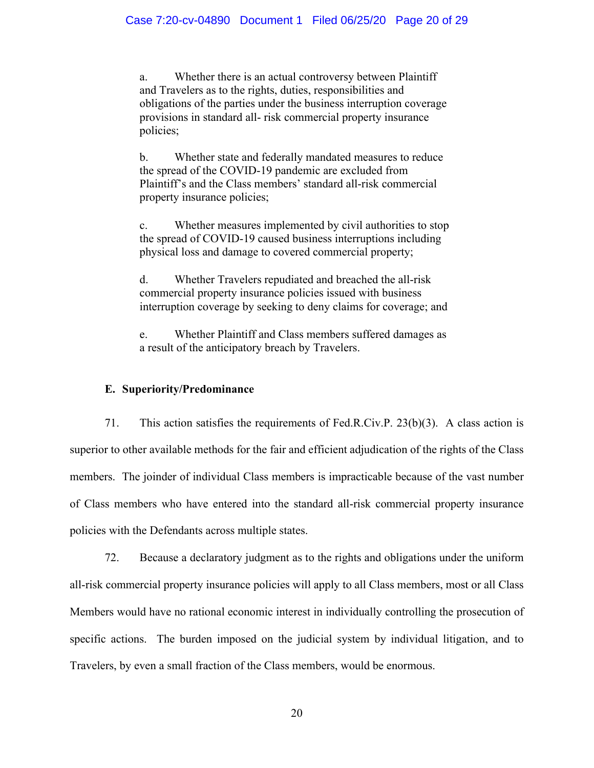a. Whether there is an actual controversy between Plaintiff and Travelers as to the rights, duties, responsibilities and obligations of the parties under the business interruption coverage provisions in standard all- risk commercial property insurance policies;

b. Whether state and federally mandated measures to reduce the spread of the COVID-19 pandemic are excluded from Plaintiff's and the Class members' standard all-risk commercial property insurance policies;

c. Whether measures implemented by civil authorities to stop the spread of COVID-19 caused business interruptions including physical loss and damage to covered commercial property;

d. Whether Travelers repudiated and breached the all-risk commercial property insurance policies issued with business interruption coverage by seeking to deny claims for coverage; and

e. Whether Plaintiff and Class members suffered damages as a result of the anticipatory breach by Travelers.

# **E. Superiority/Predominance**

71. This action satisfies the requirements of Fed.R.Civ.P. 23(b)(3). A class action is superior to other available methods for the fair and efficient adjudication of the rights of the Class members. The joinder of individual Class members is impracticable because of the vast number of Class members who have entered into the standard all-risk commercial property insurance policies with the Defendants across multiple states.

72. Because a declaratory judgment as to the rights and obligations under the uniform all-risk commercial property insurance policies will apply to all Class members, most or all Class Members would have no rational economic interest in individually controlling the prosecution of specific actions. The burden imposed on the judicial system by individual litigation, and to Travelers, by even a small fraction of the Class members, would be enormous.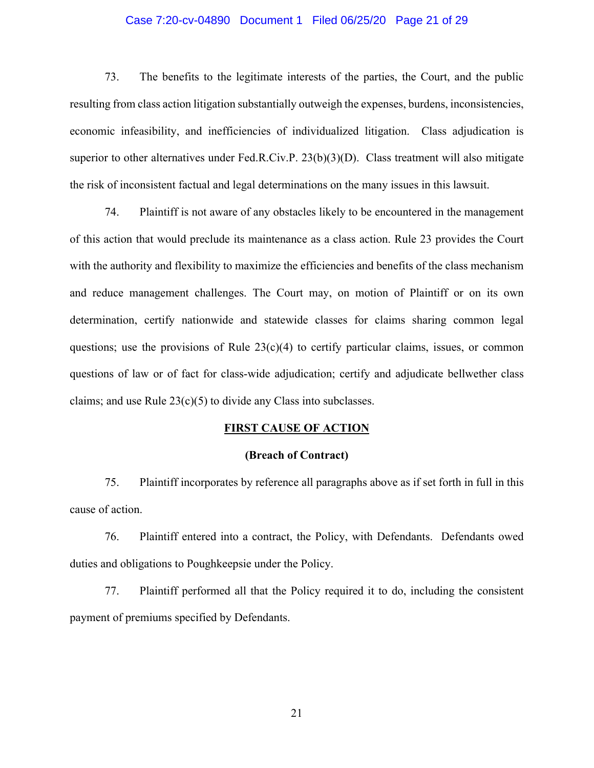### Case 7:20-cv-04890 Document 1 Filed 06/25/20 Page 21 of 29

73. The benefits to the legitimate interests of the parties, the Court, and the public resulting from class action litigation substantially outweigh the expenses, burdens, inconsistencies, economic infeasibility, and inefficiencies of individualized litigation. Class adjudication is superior to other alternatives under Fed.R.Civ.P. 23(b)(3)(D). Class treatment will also mitigate the risk of inconsistent factual and legal determinations on the many issues in this lawsuit.

74. Plaintiff is not aware of any obstacles likely to be encountered in the management of this action that would preclude its maintenance as a class action. Rule 23 provides the Court with the authority and flexibility to maximize the efficiencies and benefits of the class mechanism and reduce management challenges. The Court may, on motion of Plaintiff or on its own determination, certify nationwide and statewide classes for claims sharing common legal questions; use the provisions of Rule  $23(c)(4)$  to certify particular claims, issues, or common questions of law or of fact for class-wide adjudication; certify and adjudicate bellwether class claims; and use Rule  $23(c)(5)$  to divide any Class into subclasses.

## **FIRST CAUSE OF ACTION**

### **(Breach of Contract)**

75. Plaintiff incorporates by reference all paragraphs above as if set forth in full in this cause of action.

76. Plaintiff entered into a contract, the Policy, with Defendants. Defendants owed duties and obligations to Poughkeepsie under the Policy.

77. Plaintiff performed all that the Policy required it to do, including the consistent payment of premiums specified by Defendants.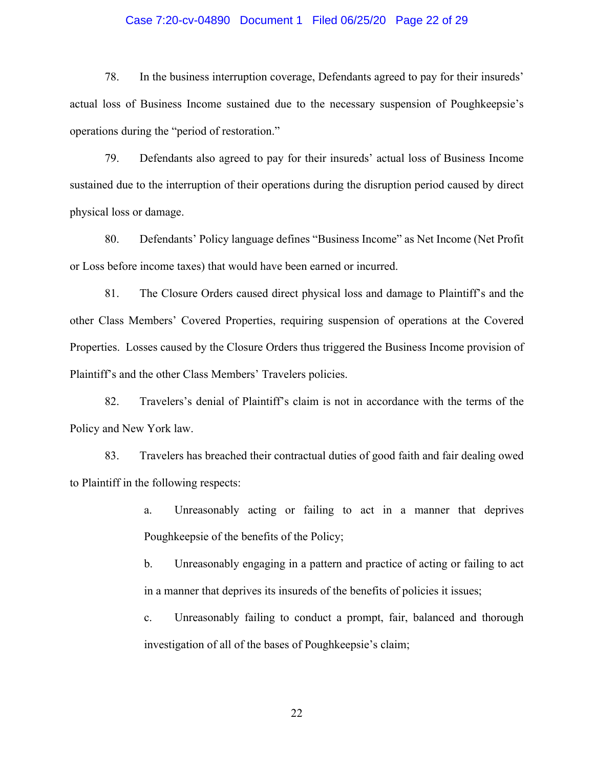### Case 7:20-cv-04890 Document 1 Filed 06/25/20 Page 22 of 29

78. In the business interruption coverage, Defendants agreed to pay for their insureds' actual loss of Business Income sustained due to the necessary suspension of Poughkeepsie's operations during the "period of restoration."

79. Defendants also agreed to pay for their insureds' actual loss of Business Income sustained due to the interruption of their operations during the disruption period caused by direct physical loss or damage.

80. Defendants' Policy language defines "Business Income" as Net Income (Net Profit or Loss before income taxes) that would have been earned or incurred.

81. The Closure Orders caused direct physical loss and damage to Plaintiff's and the other Class Members' Covered Properties, requiring suspension of operations at the Covered Properties. Losses caused by the Closure Orders thus triggered the Business Income provision of Plaintiff's and the other Class Members' Travelers policies.

82. Travelers's denial of Plaintiff's claim is not in accordance with the terms of the Policy and New York law.

83. Travelers has breached their contractual duties of good faith and fair dealing owed to Plaintiff in the following respects:

> a. Unreasonably acting or failing to act in a manner that deprives Poughkeepsie of the benefits of the Policy;

> b. Unreasonably engaging in a pattern and practice of acting or failing to act in a manner that deprives its insureds of the benefits of policies it issues;

> c. Unreasonably failing to conduct a prompt, fair, balanced and thorough investigation of all of the bases of Poughkeepsie's claim;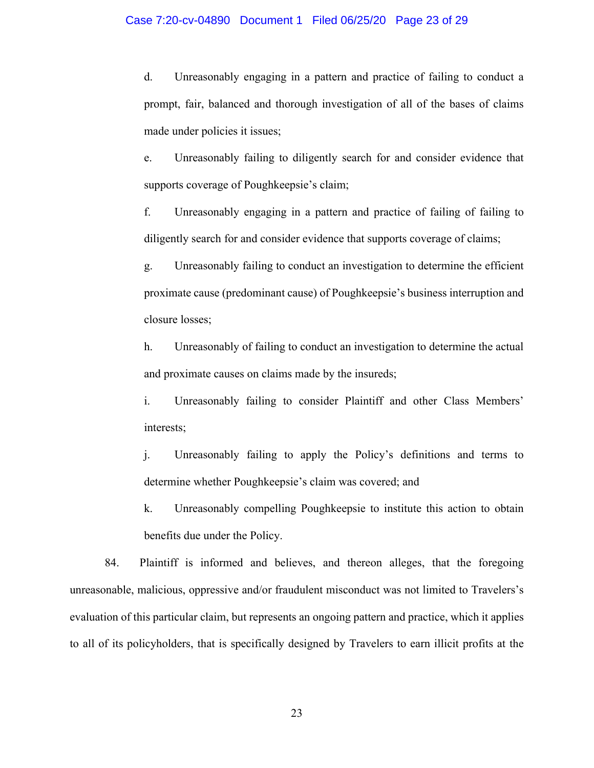#### Case 7:20-cv-04890 Document 1 Filed 06/25/20 Page 23 of 29

d. Unreasonably engaging in a pattern and practice of failing to conduct a prompt, fair, balanced and thorough investigation of all of the bases of claims made under policies it issues;

e. Unreasonably failing to diligently search for and consider evidence that supports coverage of Poughkeepsie's claim;

f. Unreasonably engaging in a pattern and practice of failing of failing to diligently search for and consider evidence that supports coverage of claims;

g. Unreasonably failing to conduct an investigation to determine the efficient proximate cause (predominant cause) of Poughkeepsie's business interruption and closure losses;

h. Unreasonably of failing to conduct an investigation to determine the actual and proximate causes on claims made by the insureds;

i. Unreasonably failing to consider Plaintiff and other Class Members' interests;

j. Unreasonably failing to apply the Policy's definitions and terms to determine whether Poughkeepsie's claim was covered; and

k. Unreasonably compelling Poughkeepsie to institute this action to obtain benefits due under the Policy.

84. Plaintiff is informed and believes, and thereon alleges, that the foregoing unreasonable, malicious, oppressive and/or fraudulent misconduct was not limited to Travelers's evaluation of this particular claim, but represents an ongoing pattern and practice, which it applies to all of its policyholders, that is specifically designed by Travelers to earn illicit profits at the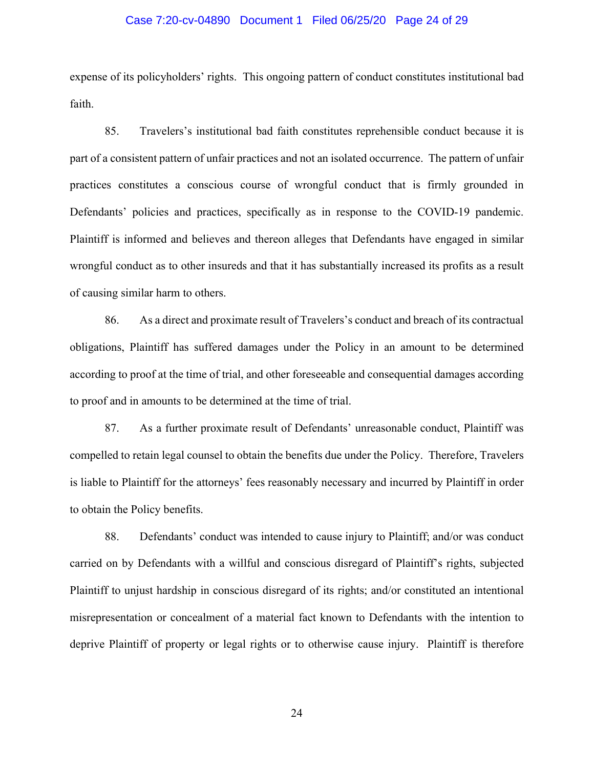### Case 7:20-cv-04890 Document 1 Filed 06/25/20 Page 24 of 29

expense of its policyholders' rights. This ongoing pattern of conduct constitutes institutional bad faith.

85. Travelers's institutional bad faith constitutes reprehensible conduct because it is part of a consistent pattern of unfair practices and not an isolated occurrence. The pattern of unfair practices constitutes a conscious course of wrongful conduct that is firmly grounded in Defendants' policies and practices, specifically as in response to the COVID-19 pandemic. Plaintiff is informed and believes and thereon alleges that Defendants have engaged in similar wrongful conduct as to other insureds and that it has substantially increased its profits as a result of causing similar harm to others.

86. As a direct and proximate result of Travelers's conduct and breach of its contractual obligations, Plaintiff has suffered damages under the Policy in an amount to be determined according to proof at the time of trial, and other foreseeable and consequential damages according to proof and in amounts to be determined at the time of trial.

87. As a further proximate result of Defendants' unreasonable conduct, Plaintiff was compelled to retain legal counsel to obtain the benefits due under the Policy. Therefore, Travelers is liable to Plaintiff for the attorneys' fees reasonably necessary and incurred by Plaintiff in order to obtain the Policy benefits.

88. Defendants' conduct was intended to cause injury to Plaintiff; and/or was conduct carried on by Defendants with a willful and conscious disregard of Plaintiff's rights, subjected Plaintiff to unjust hardship in conscious disregard of its rights; and/or constituted an intentional misrepresentation or concealment of a material fact known to Defendants with the intention to deprive Plaintiff of property or legal rights or to otherwise cause injury. Plaintiff is therefore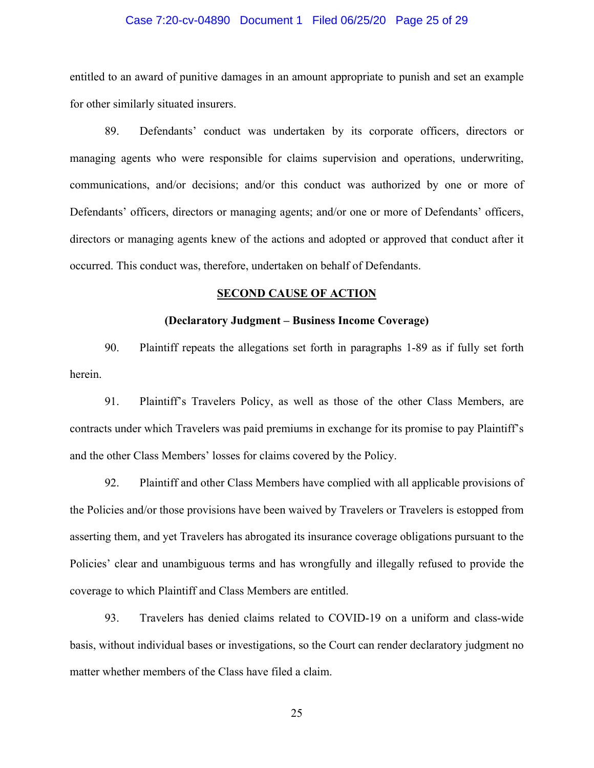### Case 7:20-cv-04890 Document 1 Filed 06/25/20 Page 25 of 29

entitled to an award of punitive damages in an amount appropriate to punish and set an example for other similarly situated insurers.

89. Defendants' conduct was undertaken by its corporate officers, directors or managing agents who were responsible for claims supervision and operations, underwriting, communications, and/or decisions; and/or this conduct was authorized by one or more of Defendants' officers, directors or managing agents; and/or one or more of Defendants' officers, directors or managing agents knew of the actions and adopted or approved that conduct after it occurred. This conduct was, therefore, undertaken on behalf of Defendants.

## **SECOND CAUSE OF ACTION**

### **(Declaratory Judgment – Business Income Coverage)**

90. Plaintiff repeats the allegations set forth in paragraphs 1-89 as if fully set forth herein.

91. Plaintiff's Travelers Policy, as well as those of the other Class Members, are contracts under which Travelers was paid premiums in exchange for its promise to pay Plaintiff's and the other Class Members' losses for claims covered by the Policy.

92. Plaintiff and other Class Members have complied with all applicable provisions of the Policies and/or those provisions have been waived by Travelers or Travelers is estopped from asserting them, and yet Travelers has abrogated its insurance coverage obligations pursuant to the Policies' clear and unambiguous terms and has wrongfully and illegally refused to provide the coverage to which Plaintiff and Class Members are entitled.

93. Travelers has denied claims related to COVID-19 on a uniform and class-wide basis, without individual bases or investigations, so the Court can render declaratory judgment no matter whether members of the Class have filed a claim.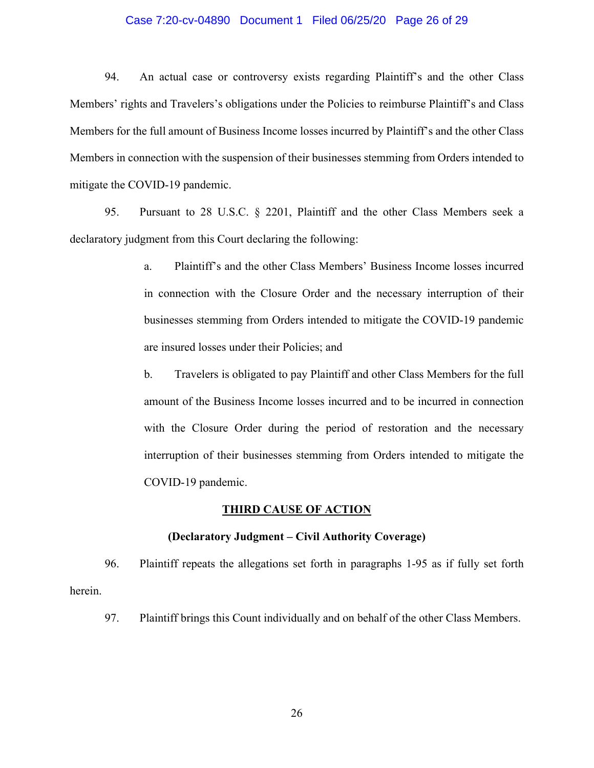### Case 7:20-cv-04890 Document 1 Filed 06/25/20 Page 26 of 29

94. An actual case or controversy exists regarding Plaintiff's and the other Class Members' rights and Travelers's obligations under the Policies to reimburse Plaintiff's and Class Members for the full amount of Business Income losses incurred by Plaintiff's and the other Class Members in connection with the suspension of their businesses stemming from Orders intended to mitigate the COVID-19 pandemic.

95. Pursuant to 28 U.S.C. § 2201, Plaintiff and the other Class Members seek a declaratory judgment from this Court declaring the following:

- a. Plaintiff's and the other Class Members' Business Income losses incurred in connection with the Closure Order and the necessary interruption of their businesses stemming from Orders intended to mitigate the COVID-19 pandemic are insured losses under their Policies; and
- b. Travelers is obligated to pay Plaintiff and other Class Members for the full amount of the Business Income losses incurred and to be incurred in connection with the Closure Order during the period of restoration and the necessary interruption of their businesses stemming from Orders intended to mitigate the COVID-19 pandemic.

### **THIRD CAUSE OF ACTION**

#### **(Declaratory Judgment – Civil Authority Coverage)**

96. Plaintiff repeats the allegations set forth in paragraphs 1-95 as if fully set forth herein.

97. Plaintiff brings this Count individually and on behalf of the other Class Members.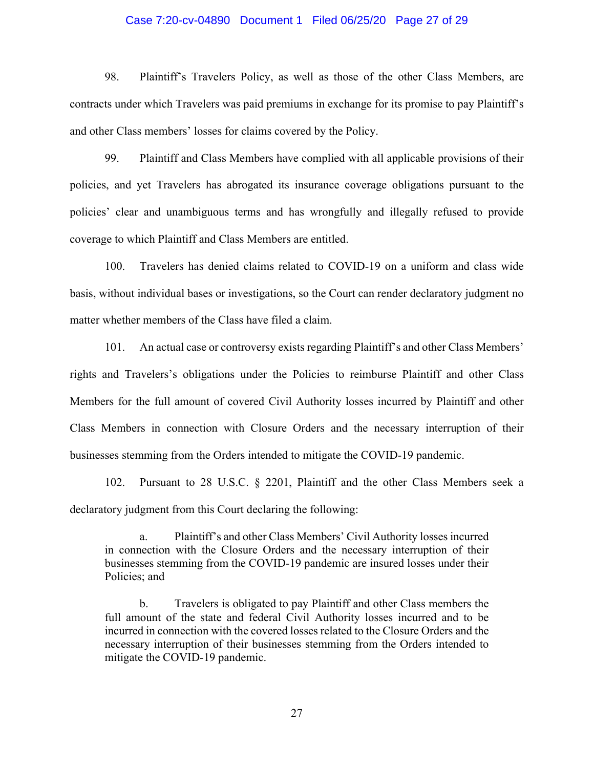#### Case 7:20-cv-04890 Document 1 Filed 06/25/20 Page 27 of 29

98. Plaintiff's Travelers Policy, as well as those of the other Class Members, are contracts under which Travelers was paid premiums in exchange for its promise to pay Plaintiff's and other Class members' losses for claims covered by the Policy.

99. Plaintiff and Class Members have complied with all applicable provisions of their policies, and yet Travelers has abrogated its insurance coverage obligations pursuant to the policies' clear and unambiguous terms and has wrongfully and illegally refused to provide coverage to which Plaintiff and Class Members are entitled.

100. Travelers has denied claims related to COVID-19 on a uniform and class wide basis, without individual bases or investigations, so the Court can render declaratory judgment no matter whether members of the Class have filed a claim.

101. An actual case or controversy exists regarding Plaintiff's and other Class Members' rights and Travelers's obligations under the Policies to reimburse Plaintiff and other Class Members for the full amount of covered Civil Authority losses incurred by Plaintiff and other Class Members in connection with Closure Orders and the necessary interruption of their businesses stemming from the Orders intended to mitigate the COVID-19 pandemic.

102. Pursuant to 28 U.S.C. § 2201, Plaintiff and the other Class Members seek a declaratory judgment from this Court declaring the following:

a. Plaintiff's and other Class Members' Civil Authority losses incurred in connection with the Closure Orders and the necessary interruption of their businesses stemming from the COVID-19 pandemic are insured losses under their Policies; and

b. Travelers is obligated to pay Plaintiff and other Class members the full amount of the state and federal Civil Authority losses incurred and to be incurred in connection with the covered losses related to the Closure Orders and the necessary interruption of their businesses stemming from the Orders intended to mitigate the COVID-19 pandemic.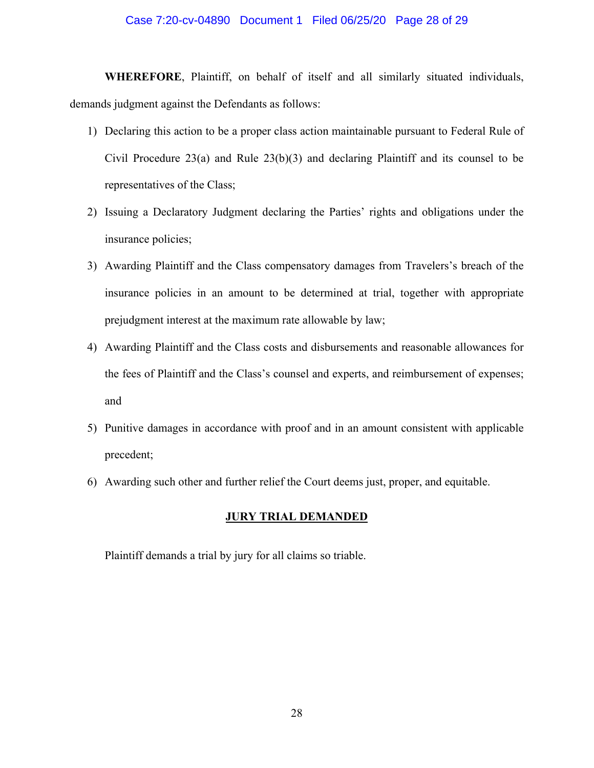### Case 7:20-cv-04890 Document 1 Filed 06/25/20 Page 28 of 29

**WHEREFORE**, Plaintiff, on behalf of itself and all similarly situated individuals, demands judgment against the Defendants as follows:

- 1) Declaring this action to be a proper class action maintainable pursuant to Federal Rule of Civil Procedure  $23(a)$  and Rule  $23(b)(3)$  and declaring Plaintiff and its counsel to be representatives of the Class;
- 2) Issuing a Declaratory Judgment declaring the Parties' rights and obligations under the insurance policies;
- 3) Awarding Plaintiff and the Class compensatory damages from Travelers's breach of the insurance policies in an amount to be determined at trial, together with appropriate prejudgment interest at the maximum rate allowable by law;
- 4) Awarding Plaintiff and the Class costs and disbursements and reasonable allowances for the fees of Plaintiff and the Class's counsel and experts, and reimbursement of expenses; and
- 5) Punitive damages in accordance with proof and in an amount consistent with applicable precedent;
- 6) Awarding such other and further relief the Court deems just, proper, and equitable.

# **JURY TRIAL DEMANDED**

Plaintiff demands a trial by jury for all claims so triable.